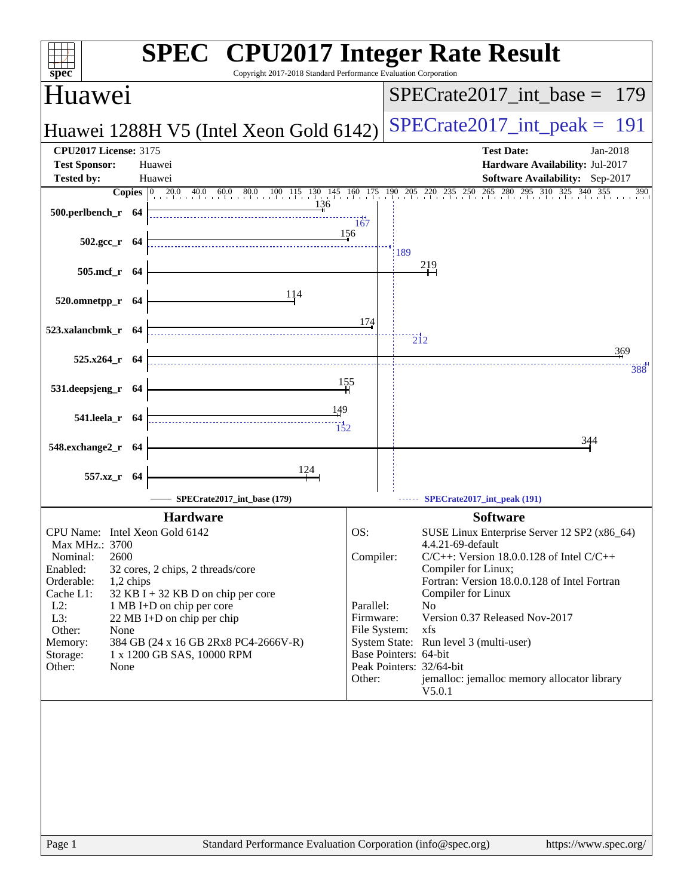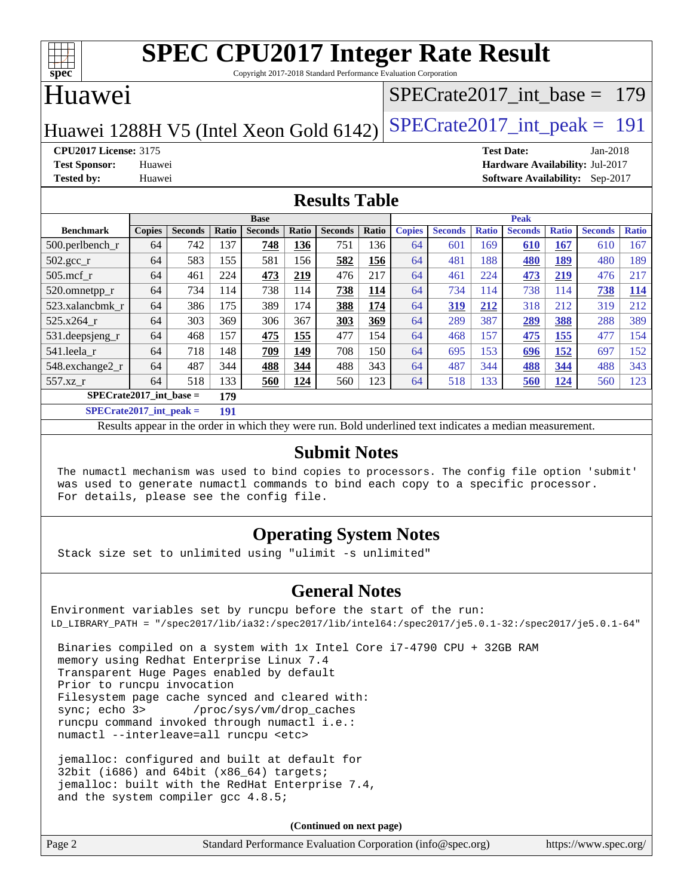

Copyright 2017-2018 Standard Performance Evaluation Corporation

## Huawei

### [SPECrate2017\\_int\\_base =](http://www.spec.org/auto/cpu2017/Docs/result-fields.html#SPECrate2017intbase) 179

Huawei 1288H V5 (Intel Xeon Gold  $6142$ ) [SPECrate2017\\_int\\_peak =](http://www.spec.org/auto/cpu2017/Docs/result-fields.html#SPECrate2017intpeak) 191

**[CPU2017 License:](http://www.spec.org/auto/cpu2017/Docs/result-fields.html#CPU2017License)** 3175 **[Test Date:](http://www.spec.org/auto/cpu2017/Docs/result-fields.html#TestDate)** Jan-2018 **[Test Sponsor:](http://www.spec.org/auto/cpu2017/Docs/result-fields.html#TestSponsor)** Huawei **[Hardware Availability:](http://www.spec.org/auto/cpu2017/Docs/result-fields.html#HardwareAvailability)** Jul-2017 **[Tested by:](http://www.spec.org/auto/cpu2017/Docs/result-fields.html#Testedby)** Huawei **[Software Availability:](http://www.spec.org/auto/cpu2017/Docs/result-fields.html#SoftwareAvailability)** Sep-2017

#### **[Results Table](http://www.spec.org/auto/cpu2017/Docs/result-fields.html#ResultsTable)**

|                           | <b>Base</b>   |                |       |                |       |                | <b>Peak</b> |               |                |              |                |              |                |              |
|---------------------------|---------------|----------------|-------|----------------|-------|----------------|-------------|---------------|----------------|--------------|----------------|--------------|----------------|--------------|
| <b>Benchmark</b>          | <b>Copies</b> | <b>Seconds</b> | Ratio | <b>Seconds</b> | Ratio | <b>Seconds</b> | Ratio       | <b>Copies</b> | <b>Seconds</b> | <b>Ratio</b> | <b>Seconds</b> | <b>Ratio</b> | <b>Seconds</b> | <b>Ratio</b> |
| $500.$ perlbench_r        | 64            | 742            | 137   | 748            | 136   | 751            | 136         | 64            | 601            | 169          | 610            | 167          | 610            | 167          |
| 502.gcc_r                 | 64            | 583            | 155   | 581            | 156   | 582            | 156         | 64            | 481            | 188          | 480            | 189          | 480            | 189          |
| $505$ .mcf r              | 64            | 461            | 224   | 473            | 219   | 476            | 217         | 64            | 461            | 224          | 473            | 219          | 476            | 217          |
| 520.omnetpp_r             | 64            | 734            | 114   | 738            | 114   | 738            | 114         | 64            | 734            | 114          | 738            | 114          | 738            | <b>114</b>   |
| 523.xalancbmk r           | 64            | 386            | 175   | 389            | 174   | 388            | 174         | 64            | 319            | 212          | 318            | 212          | 319            | 212          |
| 525.x264 r                | 64            | 303            | 369   | 306            | 367   | 303            | 369         | 64            | 289            | 387          | 289            | 388          | 288            | 389          |
| 531.deepsjeng_r           | 64            | 468            | 157   | 475            | 155   | 477            | 154         | 64            | 468            | 157          | 475            | <u>155</u>   | 477            | 154          |
| 541.leela r               | 64            | 718            | 148   | 709            | 149   | 708            | 150         | 64            | 695            | 153          | 696            | <u> 152</u>  | 697            | 152          |
| 548.exchange2_r           | 64            | 487            | 344   | 488            | 344   | 488            | 343         | 64            | 487            | 344          | 488            | 344          | 488            | 343          |
| 557.xz r                  | 64            | 518            | 133   | 560            | 124   | 560            | 123         | 64            | 518            | 133          | 560            | 124          | 560            | 123          |
| $SPECrate2017$ int base = |               |                | 179   |                |       |                |             |               |                |              |                |              |                |              |
| $CDFAC = 1.2047 + 1.1$    |               |                | 404   |                |       |                |             |               |                |              |                |              |                |              |

**[SPECrate2017\\_int\\_peak =](http://www.spec.org/auto/cpu2017/Docs/result-fields.html#SPECrate2017intpeak) 191**

Results appear in the [order in which they were run](http://www.spec.org/auto/cpu2017/Docs/result-fields.html#RunOrder). Bold underlined text [indicates a median measurement](http://www.spec.org/auto/cpu2017/Docs/result-fields.html#Median).

#### **[Submit Notes](http://www.spec.org/auto/cpu2017/Docs/result-fields.html#SubmitNotes)**

 The numactl mechanism was used to bind copies to processors. The config file option 'submit' was used to generate numactl commands to bind each copy to a specific processor. For details, please see the config file.

### **[Operating System Notes](http://www.spec.org/auto/cpu2017/Docs/result-fields.html#OperatingSystemNotes)**

Stack size set to unlimited using "ulimit -s unlimited"

#### **[General Notes](http://www.spec.org/auto/cpu2017/Docs/result-fields.html#GeneralNotes)**

Environment variables set by runcpu before the start of the run: LD\_LIBRARY\_PATH = "/spec2017/lib/ia32:/spec2017/lib/intel64:/spec2017/je5.0.1-32:/spec2017/je5.0.1-64"

 Binaries compiled on a system with 1x Intel Core i7-4790 CPU + 32GB RAM memory using Redhat Enterprise Linux 7.4 Transparent Huge Pages enabled by default Prior to runcpu invocation Filesystem page cache synced and cleared with: sync; echo 3> /proc/sys/vm/drop\_caches runcpu command invoked through numactl i.e.: numactl --interleave=all runcpu <etc>

 jemalloc: configured and built at default for 32bit (i686) and 64bit (x86\_64) targets; jemalloc: built with the RedHat Enterprise 7.4, and the system compiler gcc 4.8.5;

**(Continued on next page)**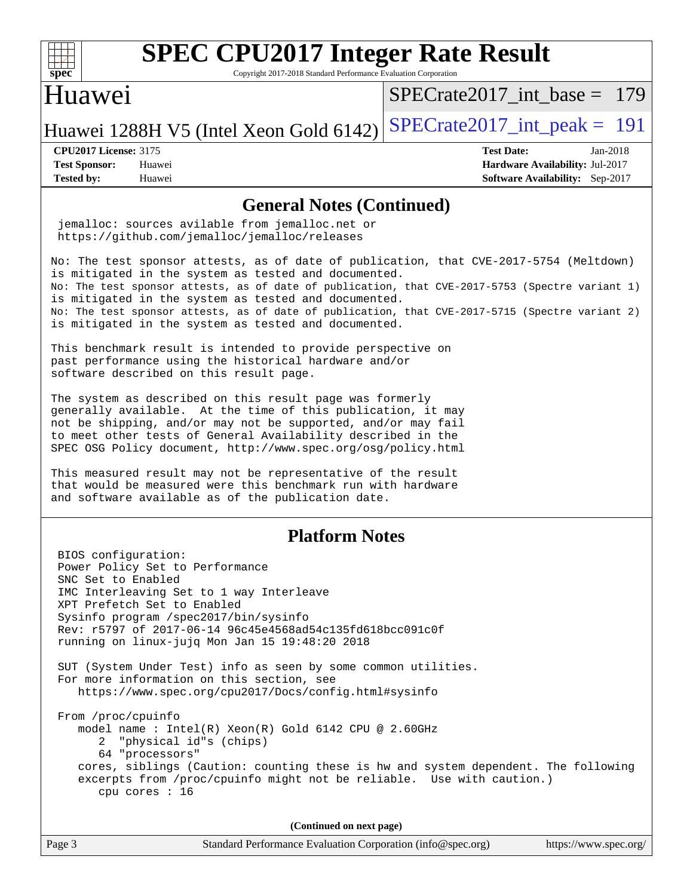

Copyright 2017-2018 Standard Performance Evaluation Corporation

### Huawei

[SPECrate2017\\_int\\_base =](http://www.spec.org/auto/cpu2017/Docs/result-fields.html#SPECrate2017intbase) 179

Huawei 1288H V5 (Intel Xeon Gold  $6142$ ) [SPECrate2017\\_int\\_peak =](http://www.spec.org/auto/cpu2017/Docs/result-fields.html#SPECrate2017intpeak) 191

**[Tested by:](http://www.spec.org/auto/cpu2017/Docs/result-fields.html#Testedby)** Huawei **[Software Availability:](http://www.spec.org/auto/cpu2017/Docs/result-fields.html#SoftwareAvailability)** Sep-2017

**[CPU2017 License:](http://www.spec.org/auto/cpu2017/Docs/result-fields.html#CPU2017License)** 3175 **[Test Date:](http://www.spec.org/auto/cpu2017/Docs/result-fields.html#TestDate)** Jan-2018 **[Test Sponsor:](http://www.spec.org/auto/cpu2017/Docs/result-fields.html#TestSponsor)** Huawei **[Hardware Availability:](http://www.spec.org/auto/cpu2017/Docs/result-fields.html#HardwareAvailability)** Jul-2017

#### **[General Notes \(Continued\)](http://www.spec.org/auto/cpu2017/Docs/result-fields.html#GeneralNotes)**

 jemalloc: sources avilable from jemalloc.net or <https://github.com/jemalloc/jemalloc/releases>

No: The test sponsor attests, as of date of publication, that CVE-2017-5754 (Meltdown) is mitigated in the system as tested and documented. No: The test sponsor attests, as of date of publication, that CVE-2017-5753 (Spectre variant 1) is mitigated in the system as tested and documented. No: The test sponsor attests, as of date of publication, that CVE-2017-5715 (Spectre variant 2) is mitigated in the system as tested and documented.

This benchmark result is intended to provide perspective on past performance using the historical hardware and/or software described on this result page.

The system as described on this result page was formerly generally available. At the time of this publication, it may not be shipping, and/or may not be supported, and/or may fail to meet other tests of General Availability described in the SPEC OSG Policy document, <http://www.spec.org/osg/policy.html>

This measured result may not be representative of the result that would be measured were this benchmark run with hardware and software available as of the publication date.

#### **[Platform Notes](http://www.spec.org/auto/cpu2017/Docs/result-fields.html#PlatformNotes)**

 BIOS configuration: Power Policy Set to Performance SNC Set to Enabled IMC Interleaving Set to 1 way Interleave XPT Prefetch Set to Enabled Sysinfo program /spec2017/bin/sysinfo Rev: r5797 of 2017-06-14 96c45e4568ad54c135fd618bcc091c0f running on linux-jujq Mon Jan 15 19:48:20 2018 SUT (System Under Test) info as seen by some common utilities. For more information on this section, see <https://www.spec.org/cpu2017/Docs/config.html#sysinfo> From /proc/cpuinfo model name : Intel(R) Xeon(R) Gold 6142 CPU @ 2.60GHz 2 "physical id"s (chips) 64 "processors" cores, siblings (Caution: counting these is hw and system dependent. The following excerpts from /proc/cpuinfo might not be reliable. Use with caution.) cpu cores : 16

**(Continued on next page)**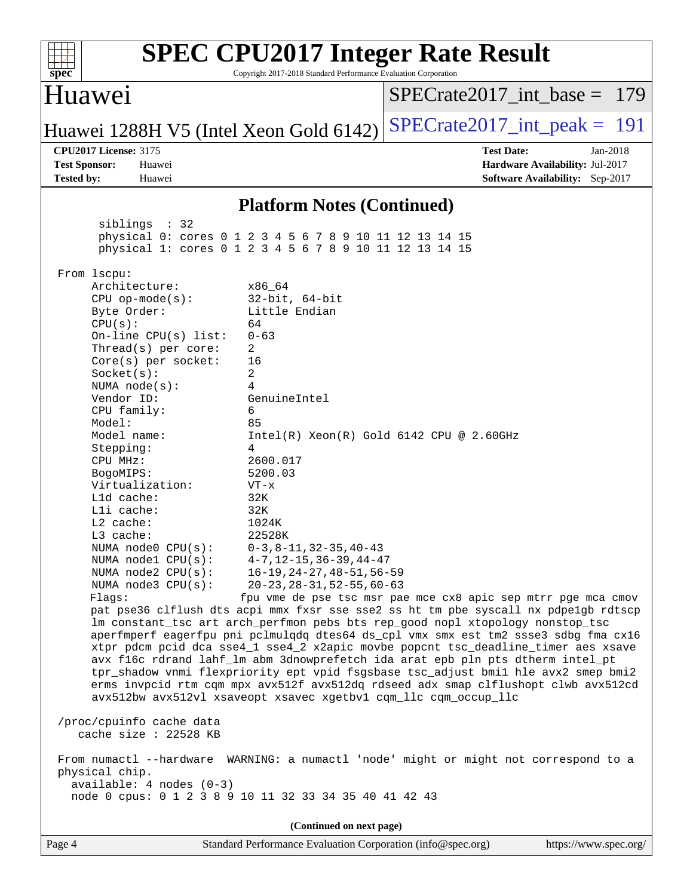| spec <sup>®</sup>                                                                                                                                                                                                                                                                                                                                                                                                                                                                                                                                                                                                                                                                                                                                                                                                                                                                                                                                                                                                                                                                                                                                                                                                                                                                                                                                                                                                                                                                       | <b>SPEC CPU2017 Integer Rate Result</b><br>Copyright 2017-2018 Standard Performance Evaluation Corporation                                                                                                                                                                                                                     |                                                                                                     |  |
|-----------------------------------------------------------------------------------------------------------------------------------------------------------------------------------------------------------------------------------------------------------------------------------------------------------------------------------------------------------------------------------------------------------------------------------------------------------------------------------------------------------------------------------------------------------------------------------------------------------------------------------------------------------------------------------------------------------------------------------------------------------------------------------------------------------------------------------------------------------------------------------------------------------------------------------------------------------------------------------------------------------------------------------------------------------------------------------------------------------------------------------------------------------------------------------------------------------------------------------------------------------------------------------------------------------------------------------------------------------------------------------------------------------------------------------------------------------------------------------------|--------------------------------------------------------------------------------------------------------------------------------------------------------------------------------------------------------------------------------------------------------------------------------------------------------------------------------|-----------------------------------------------------------------------------------------------------|--|
| Huawei                                                                                                                                                                                                                                                                                                                                                                                                                                                                                                                                                                                                                                                                                                                                                                                                                                                                                                                                                                                                                                                                                                                                                                                                                                                                                                                                                                                                                                                                                  |                                                                                                                                                                                                                                                                                                                                | $SPECrate2017\_int\_base = 179$                                                                     |  |
| Huawei 1288H V5 (Intel Xeon Gold 6142)                                                                                                                                                                                                                                                                                                                                                                                                                                                                                                                                                                                                                                                                                                                                                                                                                                                                                                                                                                                                                                                                                                                                                                                                                                                                                                                                                                                                                                                  |                                                                                                                                                                                                                                                                                                                                | $SPECTate2017\_int\_peak = 191$                                                                     |  |
| <b>CPU2017 License: 3175</b><br><b>Test Sponsor:</b><br>Huawei<br><b>Tested by:</b><br>Huawei                                                                                                                                                                                                                                                                                                                                                                                                                                                                                                                                                                                                                                                                                                                                                                                                                                                                                                                                                                                                                                                                                                                                                                                                                                                                                                                                                                                           |                                                                                                                                                                                                                                                                                                                                | <b>Test Date:</b><br>Jan-2018<br>Hardware Availability: Jul-2017<br>Software Availability: Sep-2017 |  |
|                                                                                                                                                                                                                                                                                                                                                                                                                                                                                                                                                                                                                                                                                                                                                                                                                                                                                                                                                                                                                                                                                                                                                                                                                                                                                                                                                                                                                                                                                         | <b>Platform Notes (Continued)</b>                                                                                                                                                                                                                                                                                              |                                                                                                     |  |
| siblings : 32<br>physical 0: cores 0 1 2 3 4 5 6 7 8 9 10 11 12 13 14 15<br>physical 1: cores 0 1 2 3 4 5 6 7 8 9 10 11 12 13 14 15                                                                                                                                                                                                                                                                                                                                                                                                                                                                                                                                                                                                                                                                                                                                                                                                                                                                                                                                                                                                                                                                                                                                                                                                                                                                                                                                                     |                                                                                                                                                                                                                                                                                                                                |                                                                                                     |  |
| From 1scpu:<br>Architecture:<br>$CPU$ op-mode( $s$ ):<br>Byte Order:<br>CPU(s):<br>64<br>On-line $CPU(s)$ list:<br>Thread( $s$ ) per core:<br>2<br>Core(s) per socket:<br>16<br>Socket(s):<br>2<br>4<br>NUMA $node(s)$ :<br>Vendor ID:<br>CPU family:<br>6<br>Model:<br>85<br>Model name:<br>Stepping:<br>4<br>CPU MHz:<br>BogoMIPS:<br>Virtualization:<br>L1d cache:<br>32K<br>Lli cache:<br>32K<br>$L2$ cache:<br>L3 cache:<br>NUMA $node0$ $CPU(s):$<br>NUMA nodel CPU(s):<br>NUMA $node2$ $CPU(s)$ :<br>NUMA $node3$ $CPU(s):$<br>Flaqs:<br>pat pse36 clflush dts acpi mmx fxsr sse sse2 ss ht tm pbe syscall nx pdpelgb rdtscp<br>lm constant_tsc art arch_perfmon pebs bts rep_good nopl xtopology nonstop_tsc<br>aperfmperf eagerfpu pni pclmulqdq dtes64 ds_cpl vmx smx est tm2 ssse3 sdbg fma cx16<br>xtpr pdcm pcid dca sse4_1 sse4_2 x2apic movbe popcnt tsc_deadline_timer aes xsave<br>avx f16c rdrand lahf_lm abm 3dnowprefetch ida arat epb pln pts dtherm intel_pt<br>tpr_shadow vnmi flexpriority ept vpid fsgsbase tsc_adjust bmil hle avx2 smep bmi2<br>erms invpcid rtm cqm mpx avx512f avx512dq rdseed adx smap clflushopt clwb avx512cd<br>avx512bw avx512vl xsaveopt xsavec xgetbvl cqm_llc cqm_occup_llc<br>/proc/cpuinfo cache data<br>cache size : 22528 KB<br>From numactl --hardware WARNING: a numactl 'node' might or might not correspond to a<br>physical chip.<br>$available: 4 nodes (0-3)$<br>node 0 cpus: 0 1 2 3 8 9 10 11 32 33 34 35 40 41 42 43 | x86_64<br>$32$ -bit, $64$ -bit<br>Little Endian<br>$0 - 63$<br>GenuineIntel<br>$Intel(R) Xeon(R) Gold 6142 CPU @ 2.60GHz$<br>2600.017<br>5200.03<br>$VT - x$<br>1024K<br>22528K<br>$0-3, 8-11, 32-35, 40-43$<br>$4 - 7$ , $12 - 15$ , $36 - 39$ , $44 - 47$<br>16-19,24-27,48-51,56-59<br>$20 - 23, 28 - 31, 52 - 55, 60 - 63$ | fpu vme de pse tsc msr pae mce cx8 apic sep mtrr pge mca cmov                                       |  |
| Page 4                                                                                                                                                                                                                                                                                                                                                                                                                                                                                                                                                                                                                                                                                                                                                                                                                                                                                                                                                                                                                                                                                                                                                                                                                                                                                                                                                                                                                                                                                  | (Continued on next page)<br>Standard Performance Evaluation Corporation (info@spec.org)                                                                                                                                                                                                                                        | https://www.spec.org/                                                                               |  |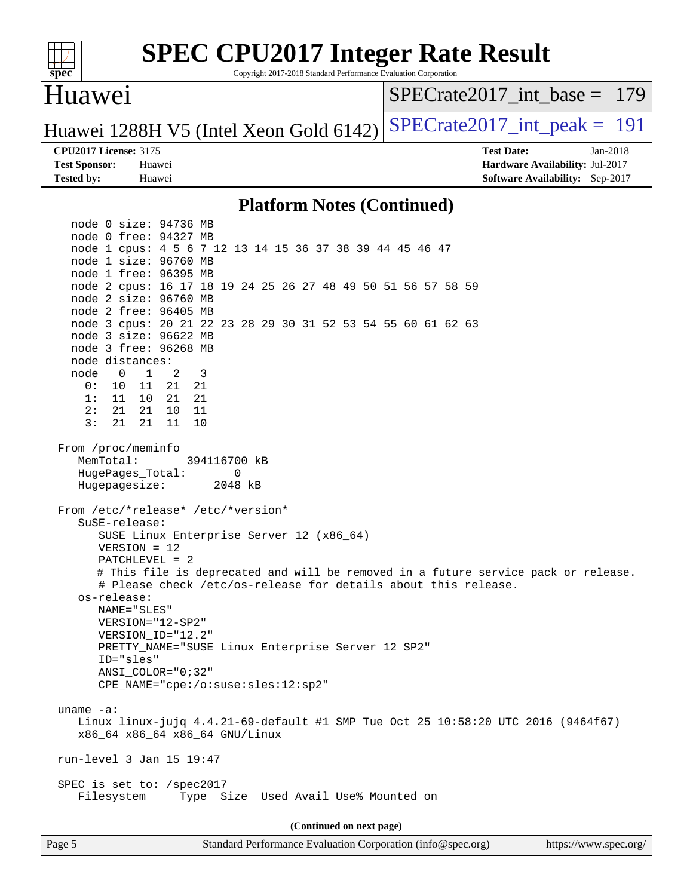

Copyright 2017-2018 Standard Performance Evaluation Corporation

### Huawei

[SPECrate2017\\_int\\_base =](http://www.spec.org/auto/cpu2017/Docs/result-fields.html#SPECrate2017intbase) 179

Huawei 1288H V5 (Intel Xeon Gold  $6142$ ) [SPECrate2017\\_int\\_peak =](http://www.spec.org/auto/cpu2017/Docs/result-fields.html#SPECrate2017intpeak) 191

**[Test Sponsor:](http://www.spec.org/auto/cpu2017/Docs/result-fields.html#TestSponsor)** Huawei **[Hardware Availability:](http://www.spec.org/auto/cpu2017/Docs/result-fields.html#HardwareAvailability)** Jul-2017 **[Tested by:](http://www.spec.org/auto/cpu2017/Docs/result-fields.html#Testedby)** Huawei **[Software Availability:](http://www.spec.org/auto/cpu2017/Docs/result-fields.html#SoftwareAvailability)** Sep-2017

**[CPU2017 License:](http://www.spec.org/auto/cpu2017/Docs/result-fields.html#CPU2017License)** 3175 **[Test Date:](http://www.spec.org/auto/cpu2017/Docs/result-fields.html#TestDate)** Jan-2018

#### **[Platform Notes \(Continued\)](http://www.spec.org/auto/cpu2017/Docs/result-fields.html#PlatformNotes)**

 node 0 size: 94736 MB node 0 free: 94327 MB node 1 cpus: 4 5 6 7 12 13 14 15 36 37 38 39 44 45 46 47 node 1 size: 96760 MB node 1 free: 96395 MB node 2 cpus: 16 17 18 19 24 25 26 27 48 49 50 51 56 57 58 59 node 2 size: 96760 MB node 2 free: 96405 MB node 3 cpus: 20 21 22 23 28 29 30 31 52 53 54 55 60 61 62 63 node 3 size: 96622 MB node 3 free: 96268 MB node distances: node 0 1 2 3 0: 10 11 21 21 1: 11 10 21 21 2: 21 21 10 11 3: 21 21 11 10 From /proc/meminfo MemTotal: 394116700 kB HugePages\_Total: 0 Hugepagesize: 2048 kB From /etc/\*release\* /etc/\*version\* SuSE-release: SUSE Linux Enterprise Server 12 (x86\_64) VERSION = 12 PATCHLEVEL = 2 # This file is deprecated and will be removed in a future service pack or release. # Please check /etc/os-release for details about this release. os-release: NAME="SLES" VERSION="12-SP2" VERSION\_ID="12.2" PRETTY\_NAME="SUSE Linux Enterprise Server 12 SP2" ID="sles" ANSI\_COLOR="0;32" CPE\_NAME="cpe:/o:suse:sles:12:sp2" uname -a: Linux linux-jujq 4.4.21-69-default #1 SMP Tue Oct 25 10:58:20 UTC 2016 (9464f67) x86\_64 x86\_64 x86\_64 GNU/Linux run-level 3 Jan 15 19:47 SPEC is set to: /spec2017 Filesystem Type Size Used Avail Use% Mounted on **(Continued on next page)**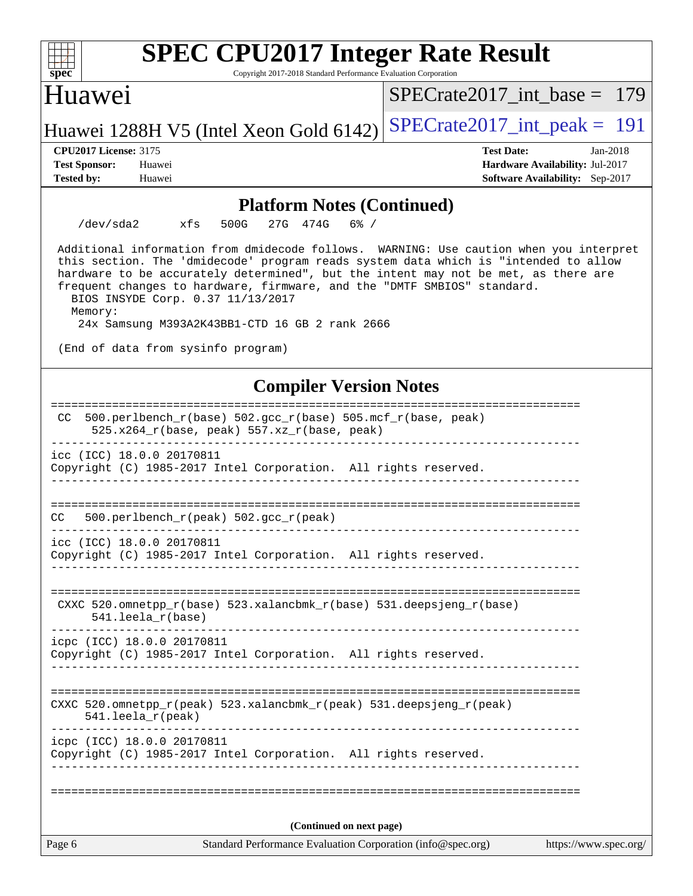| <b>SPEC CPU2017 Integer Rate Result</b><br>Copyright 2017-2018 Standard Performance Evaluation Corporation<br>spec <sup>®</sup>                                                                                                                                                                                                                                                                                                                  |                                                                                                     |  |  |  |  |  |
|--------------------------------------------------------------------------------------------------------------------------------------------------------------------------------------------------------------------------------------------------------------------------------------------------------------------------------------------------------------------------------------------------------------------------------------------------|-----------------------------------------------------------------------------------------------------|--|--|--|--|--|
| Huawei                                                                                                                                                                                                                                                                                                                                                                                                                                           | $SPECrate2017$ int base = 179                                                                       |  |  |  |  |  |
| Huawei 1288H V5 (Intel Xeon Gold 6142)                                                                                                                                                                                                                                                                                                                                                                                                           | $SPECTate2017\_int\_peak = 191$                                                                     |  |  |  |  |  |
| <b>CPU2017 License: 3175</b><br><b>Test Sponsor:</b><br>Huawei<br><b>Tested by:</b><br>Huawei                                                                                                                                                                                                                                                                                                                                                    | <b>Test Date:</b><br>Jan-2018<br>Hardware Availability: Jul-2017<br>Software Availability: Sep-2017 |  |  |  |  |  |
| <b>Platform Notes (Continued)</b>                                                                                                                                                                                                                                                                                                                                                                                                                |                                                                                                     |  |  |  |  |  |
| $/\text{dev/sda2}$<br>xfs<br>500G<br>27G 474G<br>$6\%$ /                                                                                                                                                                                                                                                                                                                                                                                         |                                                                                                     |  |  |  |  |  |
| Additional information from dmidecode follows. WARNING: Use caution when you interpret<br>this section. The 'dmidecode' program reads system data which is "intended to allow<br>hardware to be accurately determined", but the intent may not be met, as there are<br>frequent changes to hardware, firmware, and the "DMTF SMBIOS" standard.<br>BIOS INSYDE Corp. 0.37 11/13/2017<br>Memory:<br>24x Samsung M393A2K43BB1-CTD 16 GB 2 rank 2666 |                                                                                                     |  |  |  |  |  |
| (End of data from sysinfo program)                                                                                                                                                                                                                                                                                                                                                                                                               |                                                                                                     |  |  |  |  |  |
| <b>Compiler Version Notes</b>                                                                                                                                                                                                                                                                                                                                                                                                                    |                                                                                                     |  |  |  |  |  |
| 500.perlbench_r(base) 502.gcc_r(base) 505.mcf_r(base, peak)<br>CC.<br>525.x264_r(base, peak) 557.xz_r(base, peak)                                                                                                                                                                                                                                                                                                                                |                                                                                                     |  |  |  |  |  |
| icc (ICC) 18.0.0 20170811<br>Copyright (C) 1985-2017 Intel Corporation. All rights reserved.                                                                                                                                                                                                                                                                                                                                                     |                                                                                                     |  |  |  |  |  |
| 500.perlbench_r(peak) 502.gcc_r(peak)<br>CC                                                                                                                                                                                                                                                                                                                                                                                                      |                                                                                                     |  |  |  |  |  |
| icc (ICC) 18.0.0 20170811<br>Copyright (C) 1985-2017 Intel Corporation. All rights reserved.                                                                                                                                                                                                                                                                                                                                                     |                                                                                                     |  |  |  |  |  |
| CXXC 520.omnetpp_r(base) 523.xalancbmk_r(base) 531.deepsjeng_r(base)<br>541.leela_r(base)                                                                                                                                                                                                                                                                                                                                                        |                                                                                                     |  |  |  |  |  |
| icpc (ICC) 18.0.0 20170811<br>Copyright (C) 1985-2017 Intel Corporation. All rights reserved.                                                                                                                                                                                                                                                                                                                                                    |                                                                                                     |  |  |  |  |  |
|                                                                                                                                                                                                                                                                                                                                                                                                                                                  |                                                                                                     |  |  |  |  |  |
| CXXC 520.omnetpp_r(peak) 523.xalancbmk_r(peak) 531.deepsjeng_r(peak)<br>$541.$ leela_r(peak)                                                                                                                                                                                                                                                                                                                                                     |                                                                                                     |  |  |  |  |  |
| icpc (ICC) 18.0.0 20170811<br>Copyright (C) 1985-2017 Intel Corporation. All rights reserved.                                                                                                                                                                                                                                                                                                                                                    |                                                                                                     |  |  |  |  |  |
|                                                                                                                                                                                                                                                                                                                                                                                                                                                  |                                                                                                     |  |  |  |  |  |
| (Continued on next page)                                                                                                                                                                                                                                                                                                                                                                                                                         |                                                                                                     |  |  |  |  |  |
| Page 6<br>Standard Performance Evaluation Corporation (info@spec.org)                                                                                                                                                                                                                                                                                                                                                                            | https://www.spec.org/                                                                               |  |  |  |  |  |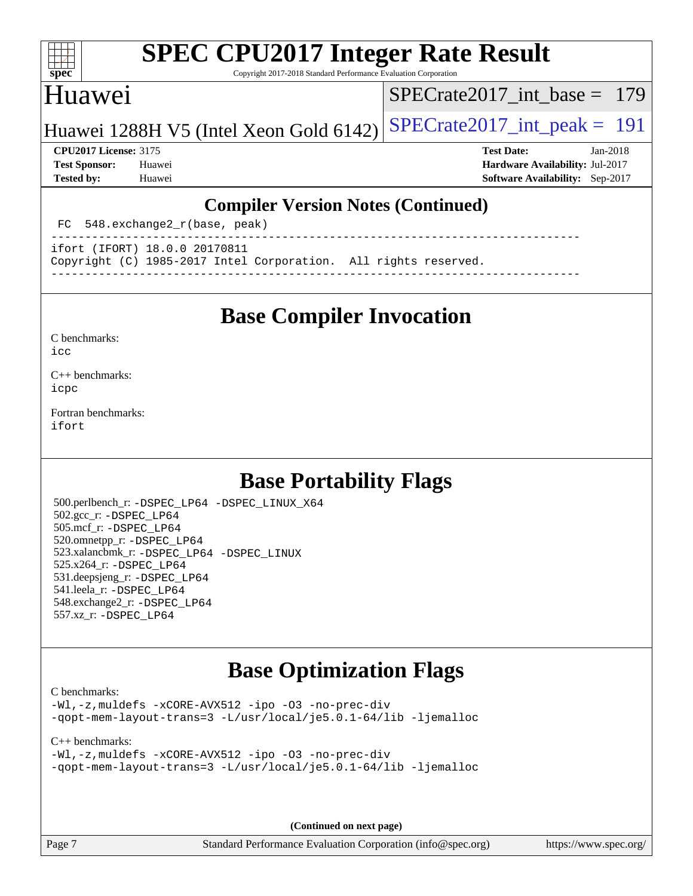#### $+\ +$ **[spec](http://www.spec.org/)**

# **[SPEC CPU2017 Integer Rate Result](http://www.spec.org/auto/cpu2017/Docs/result-fields.html#SPECCPU2017IntegerRateResult)**

Copyright 2017-2018 Standard Performance Evaluation Corporation

## Huawei

[SPECrate2017\\_int\\_base =](http://www.spec.org/auto/cpu2017/Docs/result-fields.html#SPECrate2017intbase) 179

Huawei 1288H V5 (Intel Xeon Gold  $6142$ ) [SPECrate2017\\_int\\_peak =](http://www.spec.org/auto/cpu2017/Docs/result-fields.html#SPECrate2017intpeak) 191

**[Tested by:](http://www.spec.org/auto/cpu2017/Docs/result-fields.html#Testedby)** Huawei **[Software Availability:](http://www.spec.org/auto/cpu2017/Docs/result-fields.html#SoftwareAvailability)** Sep-2017

**[CPU2017 License:](http://www.spec.org/auto/cpu2017/Docs/result-fields.html#CPU2017License)** 3175 **[Test Date:](http://www.spec.org/auto/cpu2017/Docs/result-fields.html#TestDate)** Jan-2018 **[Test Sponsor:](http://www.spec.org/auto/cpu2017/Docs/result-fields.html#TestSponsor)** Huawei **[Hardware Availability:](http://www.spec.org/auto/cpu2017/Docs/result-fields.html#HardwareAvailability)** Jul-2017

### **[Compiler Version Notes \(Continued\)](http://www.spec.org/auto/cpu2017/Docs/result-fields.html#CompilerVersionNotes)**

FC 548.exchange2\_r(base, peak)

----------------------------------------------------------------------------- ifort (IFORT) 18.0.0 20170811

Copyright (C) 1985-2017 Intel Corporation. All rights reserved.

**[Base Compiler Invocation](http://www.spec.org/auto/cpu2017/Docs/result-fields.html#BaseCompilerInvocation)**

------------------------------------------------------------------------------

[C benchmarks](http://www.spec.org/auto/cpu2017/Docs/result-fields.html#Cbenchmarks):  $i$ cc

[C++ benchmarks:](http://www.spec.org/auto/cpu2017/Docs/result-fields.html#CXXbenchmarks) [icpc](http://www.spec.org/cpu2017/results/res2018q1/cpu2017-20180122-02652.flags.html#user_CXXbase_intel_icpc_18.0_c510b6838c7f56d33e37e94d029a35b4a7bccf4766a728ee175e80a419847e808290a9b78be685c44ab727ea267ec2f070ec5dc83b407c0218cded6866a35d07)

[Fortran benchmarks](http://www.spec.org/auto/cpu2017/Docs/result-fields.html#Fortranbenchmarks): [ifort](http://www.spec.org/cpu2017/results/res2018q1/cpu2017-20180122-02652.flags.html#user_FCbase_intel_ifort_18.0_8111460550e3ca792625aed983ce982f94888b8b503583aa7ba2b8303487b4d8a21a13e7191a45c5fd58ff318f48f9492884d4413fa793fd88dd292cad7027ca)

# **[Base Portability Flags](http://www.spec.org/auto/cpu2017/Docs/result-fields.html#BasePortabilityFlags)**

 500.perlbench\_r: [-DSPEC\\_LP64](http://www.spec.org/cpu2017/results/res2018q1/cpu2017-20180122-02652.flags.html#b500.perlbench_r_basePORTABILITY_DSPEC_LP64) [-DSPEC\\_LINUX\\_X64](http://www.spec.org/cpu2017/results/res2018q1/cpu2017-20180122-02652.flags.html#b500.perlbench_r_baseCPORTABILITY_DSPEC_LINUX_X64) 502.gcc\_r: [-DSPEC\\_LP64](http://www.spec.org/cpu2017/results/res2018q1/cpu2017-20180122-02652.flags.html#suite_basePORTABILITY502_gcc_r_DSPEC_LP64) 505.mcf\_r: [-DSPEC\\_LP64](http://www.spec.org/cpu2017/results/res2018q1/cpu2017-20180122-02652.flags.html#suite_basePORTABILITY505_mcf_r_DSPEC_LP64) 520.omnetpp\_r: [-DSPEC\\_LP64](http://www.spec.org/cpu2017/results/res2018q1/cpu2017-20180122-02652.flags.html#suite_basePORTABILITY520_omnetpp_r_DSPEC_LP64) 523.xalancbmk\_r: [-DSPEC\\_LP64](http://www.spec.org/cpu2017/results/res2018q1/cpu2017-20180122-02652.flags.html#suite_basePORTABILITY523_xalancbmk_r_DSPEC_LP64) [-DSPEC\\_LINUX](http://www.spec.org/cpu2017/results/res2018q1/cpu2017-20180122-02652.flags.html#b523.xalancbmk_r_baseCXXPORTABILITY_DSPEC_LINUX) 525.x264\_r: [-DSPEC\\_LP64](http://www.spec.org/cpu2017/results/res2018q1/cpu2017-20180122-02652.flags.html#suite_basePORTABILITY525_x264_r_DSPEC_LP64) 531.deepsjeng\_r: [-DSPEC\\_LP64](http://www.spec.org/cpu2017/results/res2018q1/cpu2017-20180122-02652.flags.html#suite_basePORTABILITY531_deepsjeng_r_DSPEC_LP64) 541.leela\_r: [-DSPEC\\_LP64](http://www.spec.org/cpu2017/results/res2018q1/cpu2017-20180122-02652.flags.html#suite_basePORTABILITY541_leela_r_DSPEC_LP64) 548.exchange2\_r: [-DSPEC\\_LP64](http://www.spec.org/cpu2017/results/res2018q1/cpu2017-20180122-02652.flags.html#suite_basePORTABILITY548_exchange2_r_DSPEC_LP64) 557.xz\_r: [-DSPEC\\_LP64](http://www.spec.org/cpu2017/results/res2018q1/cpu2017-20180122-02652.flags.html#suite_basePORTABILITY557_xz_r_DSPEC_LP64)

# **[Base Optimization Flags](http://www.spec.org/auto/cpu2017/Docs/result-fields.html#BaseOptimizationFlags)**

[C benchmarks](http://www.spec.org/auto/cpu2017/Docs/result-fields.html#Cbenchmarks):

[-Wl,-z,muldefs](http://www.spec.org/cpu2017/results/res2018q1/cpu2017-20180122-02652.flags.html#user_CCbase_link_force_multiple1_b4cbdb97b34bdee9ceefcfe54f4c8ea74255f0b02a4b23e853cdb0e18eb4525ac79b5a88067c842dd0ee6996c24547a27a4b99331201badda8798ef8a743f577) [-xCORE-AVX512](http://www.spec.org/cpu2017/results/res2018q1/cpu2017-20180122-02652.flags.html#user_CCbase_f-xCORE-AVX512) [-ipo](http://www.spec.org/cpu2017/results/res2018q1/cpu2017-20180122-02652.flags.html#user_CCbase_f-ipo) [-O3](http://www.spec.org/cpu2017/results/res2018q1/cpu2017-20180122-02652.flags.html#user_CCbase_f-O3) [-no-prec-div](http://www.spec.org/cpu2017/results/res2018q1/cpu2017-20180122-02652.flags.html#user_CCbase_f-no-prec-div) [-qopt-mem-layout-trans=3](http://www.spec.org/cpu2017/results/res2018q1/cpu2017-20180122-02652.flags.html#user_CCbase_f-qopt-mem-layout-trans_de80db37974c74b1f0e20d883f0b675c88c3b01e9d123adea9b28688d64333345fb62bc4a798493513fdb68f60282f9a726aa07f478b2f7113531aecce732043) [-L/usr/local/je5.0.1-64/lib](http://www.spec.org/cpu2017/results/res2018q1/cpu2017-20180122-02652.flags.html#user_CCbase_jemalloc_link_path64_4b10a636b7bce113509b17f3bd0d6226c5fb2346b9178c2d0232c14f04ab830f976640479e5c33dc2bcbbdad86ecfb6634cbbd4418746f06f368b512fced5394) [-ljemalloc](http://www.spec.org/cpu2017/results/res2018q1/cpu2017-20180122-02652.flags.html#user_CCbase_jemalloc_link_lib_d1249b907c500fa1c0672f44f562e3d0f79738ae9e3c4a9c376d49f265a04b9c99b167ecedbf6711b3085be911c67ff61f150a17b3472be731631ba4d0471706)

[C++ benchmarks:](http://www.spec.org/auto/cpu2017/Docs/result-fields.html#CXXbenchmarks)

[-Wl,-z,muldefs](http://www.spec.org/cpu2017/results/res2018q1/cpu2017-20180122-02652.flags.html#user_CXXbase_link_force_multiple1_b4cbdb97b34bdee9ceefcfe54f4c8ea74255f0b02a4b23e853cdb0e18eb4525ac79b5a88067c842dd0ee6996c24547a27a4b99331201badda8798ef8a743f577) [-xCORE-AVX512](http://www.spec.org/cpu2017/results/res2018q1/cpu2017-20180122-02652.flags.html#user_CXXbase_f-xCORE-AVX512) [-ipo](http://www.spec.org/cpu2017/results/res2018q1/cpu2017-20180122-02652.flags.html#user_CXXbase_f-ipo) [-O3](http://www.spec.org/cpu2017/results/res2018q1/cpu2017-20180122-02652.flags.html#user_CXXbase_f-O3) [-no-prec-div](http://www.spec.org/cpu2017/results/res2018q1/cpu2017-20180122-02652.flags.html#user_CXXbase_f-no-prec-div) [-qopt-mem-layout-trans=3](http://www.spec.org/cpu2017/results/res2018q1/cpu2017-20180122-02652.flags.html#user_CXXbase_f-qopt-mem-layout-trans_de80db37974c74b1f0e20d883f0b675c88c3b01e9d123adea9b28688d64333345fb62bc4a798493513fdb68f60282f9a726aa07f478b2f7113531aecce732043) [-L/usr/local/je5.0.1-64/lib](http://www.spec.org/cpu2017/results/res2018q1/cpu2017-20180122-02652.flags.html#user_CXXbase_jemalloc_link_path64_4b10a636b7bce113509b17f3bd0d6226c5fb2346b9178c2d0232c14f04ab830f976640479e5c33dc2bcbbdad86ecfb6634cbbd4418746f06f368b512fced5394) [-ljemalloc](http://www.spec.org/cpu2017/results/res2018q1/cpu2017-20180122-02652.flags.html#user_CXXbase_jemalloc_link_lib_d1249b907c500fa1c0672f44f562e3d0f79738ae9e3c4a9c376d49f265a04b9c99b167ecedbf6711b3085be911c67ff61f150a17b3472be731631ba4d0471706)

**(Continued on next page)**

Page 7 Standard Performance Evaluation Corporation [\(info@spec.org\)](mailto:info@spec.org) <https://www.spec.org/>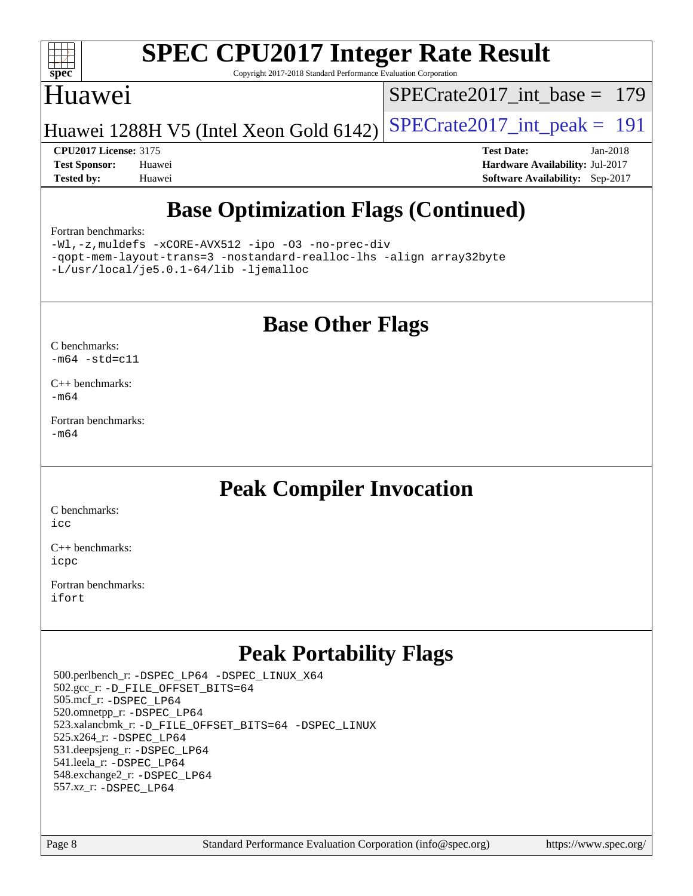

Copyright 2017-2018 Standard Performance Evaluation Corporation

## Huawei

[SPECrate2017\\_int\\_base =](http://www.spec.org/auto/cpu2017/Docs/result-fields.html#SPECrate2017intbase) 179

Huawei 1288H V5 (Intel Xeon Gold  $6142$ ) [SPECrate2017\\_int\\_peak =](http://www.spec.org/auto/cpu2017/Docs/result-fields.html#SPECrate2017intpeak) 191

**[CPU2017 License:](http://www.spec.org/auto/cpu2017/Docs/result-fields.html#CPU2017License)** 3175 **[Test Date:](http://www.spec.org/auto/cpu2017/Docs/result-fields.html#TestDate)** Jan-2018 **[Test Sponsor:](http://www.spec.org/auto/cpu2017/Docs/result-fields.html#TestSponsor)** Huawei **[Hardware Availability:](http://www.spec.org/auto/cpu2017/Docs/result-fields.html#HardwareAvailability)** Jul-2017 **[Tested by:](http://www.spec.org/auto/cpu2017/Docs/result-fields.html#Testedby)** Huawei **[Software Availability:](http://www.spec.org/auto/cpu2017/Docs/result-fields.html#SoftwareAvailability)** Sep-2017

# **[Base Optimization Flags \(Continued\)](http://www.spec.org/auto/cpu2017/Docs/result-fields.html#BaseOptimizationFlags)**

#### [Fortran benchmarks](http://www.spec.org/auto/cpu2017/Docs/result-fields.html#Fortranbenchmarks):

[-Wl,-z,muldefs](http://www.spec.org/cpu2017/results/res2018q1/cpu2017-20180122-02652.flags.html#user_FCbase_link_force_multiple1_b4cbdb97b34bdee9ceefcfe54f4c8ea74255f0b02a4b23e853cdb0e18eb4525ac79b5a88067c842dd0ee6996c24547a27a4b99331201badda8798ef8a743f577) [-xCORE-AVX512](http://www.spec.org/cpu2017/results/res2018q1/cpu2017-20180122-02652.flags.html#user_FCbase_f-xCORE-AVX512) [-ipo](http://www.spec.org/cpu2017/results/res2018q1/cpu2017-20180122-02652.flags.html#user_FCbase_f-ipo) [-O3](http://www.spec.org/cpu2017/results/res2018q1/cpu2017-20180122-02652.flags.html#user_FCbase_f-O3) [-no-prec-div](http://www.spec.org/cpu2017/results/res2018q1/cpu2017-20180122-02652.flags.html#user_FCbase_f-no-prec-div) [-qopt-mem-layout-trans=3](http://www.spec.org/cpu2017/results/res2018q1/cpu2017-20180122-02652.flags.html#user_FCbase_f-qopt-mem-layout-trans_de80db37974c74b1f0e20d883f0b675c88c3b01e9d123adea9b28688d64333345fb62bc4a798493513fdb68f60282f9a726aa07f478b2f7113531aecce732043) [-nostandard-realloc-lhs](http://www.spec.org/cpu2017/results/res2018q1/cpu2017-20180122-02652.flags.html#user_FCbase_f_2003_std_realloc_82b4557e90729c0f113870c07e44d33d6f5a304b4f63d4c15d2d0f1fab99f5daaed73bdb9275d9ae411527f28b936061aa8b9c8f2d63842963b95c9dd6426b8a) [-align array32byte](http://www.spec.org/cpu2017/results/res2018q1/cpu2017-20180122-02652.flags.html#user_FCbase_align_array32byte_b982fe038af199962ba9a80c053b8342c548c85b40b8e86eb3cc33dee0d7986a4af373ac2d51c3f7cf710a18d62fdce2948f201cd044323541f22fc0fffc51b6) [-L/usr/local/je5.0.1-64/lib](http://www.spec.org/cpu2017/results/res2018q1/cpu2017-20180122-02652.flags.html#user_FCbase_jemalloc_link_path64_4b10a636b7bce113509b17f3bd0d6226c5fb2346b9178c2d0232c14f04ab830f976640479e5c33dc2bcbbdad86ecfb6634cbbd4418746f06f368b512fced5394) [-ljemalloc](http://www.spec.org/cpu2017/results/res2018q1/cpu2017-20180122-02652.flags.html#user_FCbase_jemalloc_link_lib_d1249b907c500fa1c0672f44f562e3d0f79738ae9e3c4a9c376d49f265a04b9c99b167ecedbf6711b3085be911c67ff61f150a17b3472be731631ba4d0471706)

## **[Base Other Flags](http://www.spec.org/auto/cpu2017/Docs/result-fields.html#BaseOtherFlags)**

[C benchmarks](http://www.spec.org/auto/cpu2017/Docs/result-fields.html#Cbenchmarks):  $-m64 - std= c11$  $-m64 - std= c11$ 

 $C_{++}$  benchmarks: [-m64](http://www.spec.org/cpu2017/results/res2018q1/cpu2017-20180122-02652.flags.html#user_CXXbase_intel_intel64_18.0_af43caccfc8ded86e7699f2159af6efc7655f51387b94da716254467f3c01020a5059329e2569e4053f409e7c9202a7efc638f7a6d1ffb3f52dea4a3e31d82ab)

[Fortran benchmarks](http://www.spec.org/auto/cpu2017/Docs/result-fields.html#Fortranbenchmarks): [-m64](http://www.spec.org/cpu2017/results/res2018q1/cpu2017-20180122-02652.flags.html#user_FCbase_intel_intel64_18.0_af43caccfc8ded86e7699f2159af6efc7655f51387b94da716254467f3c01020a5059329e2569e4053f409e7c9202a7efc638f7a6d1ffb3f52dea4a3e31d82ab)

# **[Peak Compiler Invocation](http://www.spec.org/auto/cpu2017/Docs/result-fields.html#PeakCompilerInvocation)**

[C benchmarks](http://www.spec.org/auto/cpu2017/Docs/result-fields.html#Cbenchmarks): [icc](http://www.spec.org/cpu2017/results/res2018q1/cpu2017-20180122-02652.flags.html#user_CCpeak_intel_icc_18.0_66fc1ee009f7361af1fbd72ca7dcefbb700085f36577c54f309893dd4ec40d12360134090235512931783d35fd58c0460139e722d5067c5574d8eaf2b3e37e92)

[C++ benchmarks:](http://www.spec.org/auto/cpu2017/Docs/result-fields.html#CXXbenchmarks) [icpc](http://www.spec.org/cpu2017/results/res2018q1/cpu2017-20180122-02652.flags.html#user_CXXpeak_intel_icpc_18.0_c510b6838c7f56d33e37e94d029a35b4a7bccf4766a728ee175e80a419847e808290a9b78be685c44ab727ea267ec2f070ec5dc83b407c0218cded6866a35d07)

[Fortran benchmarks](http://www.spec.org/auto/cpu2017/Docs/result-fields.html#Fortranbenchmarks): [ifort](http://www.spec.org/cpu2017/results/res2018q1/cpu2017-20180122-02652.flags.html#user_FCpeak_intel_ifort_18.0_8111460550e3ca792625aed983ce982f94888b8b503583aa7ba2b8303487b4d8a21a13e7191a45c5fd58ff318f48f9492884d4413fa793fd88dd292cad7027ca)

# **[Peak Portability Flags](http://www.spec.org/auto/cpu2017/Docs/result-fields.html#PeakPortabilityFlags)**

 500.perlbench\_r: [-DSPEC\\_LP64](http://www.spec.org/cpu2017/results/res2018q1/cpu2017-20180122-02652.flags.html#b500.perlbench_r_peakPORTABILITY_DSPEC_LP64) [-DSPEC\\_LINUX\\_X64](http://www.spec.org/cpu2017/results/res2018q1/cpu2017-20180122-02652.flags.html#b500.perlbench_r_peakCPORTABILITY_DSPEC_LINUX_X64) 502.gcc\_r: [-D\\_FILE\\_OFFSET\\_BITS=64](http://www.spec.org/cpu2017/results/res2018q1/cpu2017-20180122-02652.flags.html#user_peakPORTABILITY502_gcc_r_file_offset_bits_64_5ae949a99b284ddf4e95728d47cb0843d81b2eb0e18bdfe74bbf0f61d0b064f4bda2f10ea5eb90e1dcab0e84dbc592acfc5018bc955c18609f94ddb8d550002c) 505.mcf\_r: [-DSPEC\\_LP64](http://www.spec.org/cpu2017/results/res2018q1/cpu2017-20180122-02652.flags.html#suite_peakPORTABILITY505_mcf_r_DSPEC_LP64) 520.omnetpp\_r: [-DSPEC\\_LP64](http://www.spec.org/cpu2017/results/res2018q1/cpu2017-20180122-02652.flags.html#suite_peakPORTABILITY520_omnetpp_r_DSPEC_LP64) 523.xalancbmk\_r: [-D\\_FILE\\_OFFSET\\_BITS=64](http://www.spec.org/cpu2017/results/res2018q1/cpu2017-20180122-02652.flags.html#user_peakPORTABILITY523_xalancbmk_r_file_offset_bits_64_5ae949a99b284ddf4e95728d47cb0843d81b2eb0e18bdfe74bbf0f61d0b064f4bda2f10ea5eb90e1dcab0e84dbc592acfc5018bc955c18609f94ddb8d550002c) [-DSPEC\\_LINUX](http://www.spec.org/cpu2017/results/res2018q1/cpu2017-20180122-02652.flags.html#b523.xalancbmk_r_peakCXXPORTABILITY_DSPEC_LINUX) 525.x264\_r: [-DSPEC\\_LP64](http://www.spec.org/cpu2017/results/res2018q1/cpu2017-20180122-02652.flags.html#suite_peakPORTABILITY525_x264_r_DSPEC_LP64) 531.deepsjeng\_r: [-DSPEC\\_LP64](http://www.spec.org/cpu2017/results/res2018q1/cpu2017-20180122-02652.flags.html#suite_peakPORTABILITY531_deepsjeng_r_DSPEC_LP64) 541.leela\_r: [-DSPEC\\_LP64](http://www.spec.org/cpu2017/results/res2018q1/cpu2017-20180122-02652.flags.html#suite_peakPORTABILITY541_leela_r_DSPEC_LP64) 548.exchange2\_r: [-DSPEC\\_LP64](http://www.spec.org/cpu2017/results/res2018q1/cpu2017-20180122-02652.flags.html#suite_peakPORTABILITY548_exchange2_r_DSPEC_LP64) 557.xz\_r: [-DSPEC\\_LP64](http://www.spec.org/cpu2017/results/res2018q1/cpu2017-20180122-02652.flags.html#suite_peakPORTABILITY557_xz_r_DSPEC_LP64)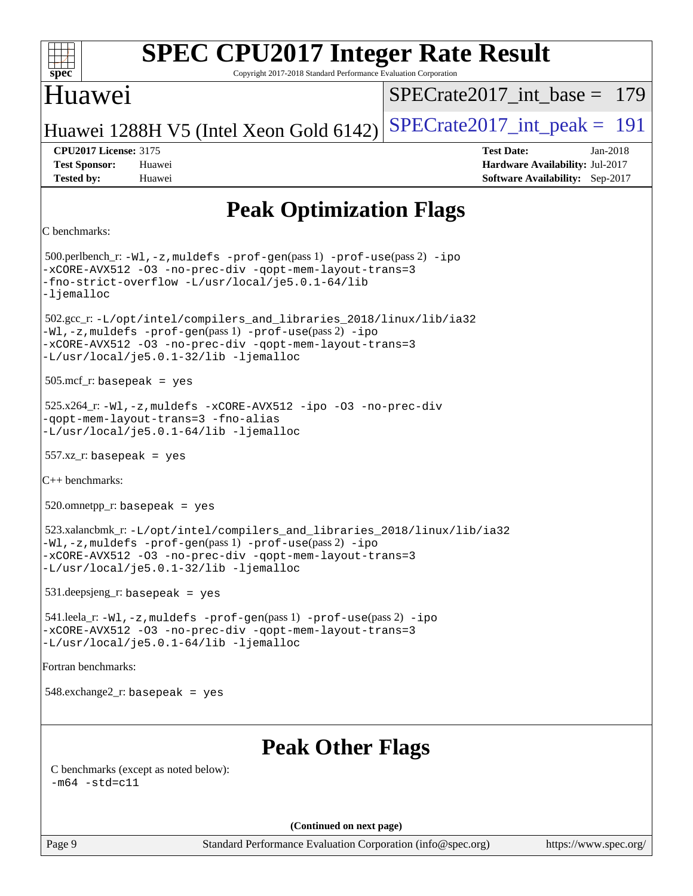#### **[SPEC CPU2017 Integer Rate Result](http://www.spec.org/auto/cpu2017/Docs/result-fields.html#SPECCPU2017IntegerRateResult)**  $\pm\pm\prime$ **[spec](http://www.spec.org/)** Copyright 2017-2018 Standard Performance Evaluation Corporation Huawei [SPECrate2017\\_int\\_base =](http://www.spec.org/auto/cpu2017/Docs/result-fields.html#SPECrate2017intbase) 179 Huawei 1288H V5 (Intel Xeon Gold  $6142$ ) [SPECrate2017\\_int\\_peak =](http://www.spec.org/auto/cpu2017/Docs/result-fields.html#SPECrate2017intpeak) 191 **[CPU2017 License:](http://www.spec.org/auto/cpu2017/Docs/result-fields.html#CPU2017License)** 3175 **[Test Date:](http://www.spec.org/auto/cpu2017/Docs/result-fields.html#TestDate)** Jan-2018 **[Test Sponsor:](http://www.spec.org/auto/cpu2017/Docs/result-fields.html#TestSponsor)** Huawei **[Hardware Availability:](http://www.spec.org/auto/cpu2017/Docs/result-fields.html#HardwareAvailability)** Jul-2017 **[Tested by:](http://www.spec.org/auto/cpu2017/Docs/result-fields.html#Testedby)** Huawei **[Software Availability:](http://www.spec.org/auto/cpu2017/Docs/result-fields.html#SoftwareAvailability)** Sep-2017 **[Peak Optimization Flags](http://www.spec.org/auto/cpu2017/Docs/result-fields.html#PeakOptimizationFlags)** [C benchmarks:](http://www.spec.org/auto/cpu2017/Docs/result-fields.html#Cbenchmarks) 500.perlbench\_r: [-Wl,-z,muldefs](http://www.spec.org/cpu2017/results/res2018q1/cpu2017-20180122-02652.flags.html#user_peakEXTRA_LDFLAGS500_perlbench_r_link_force_multiple1_b4cbdb97b34bdee9ceefcfe54f4c8ea74255f0b02a4b23e853cdb0e18eb4525ac79b5a88067c842dd0ee6996c24547a27a4b99331201badda8798ef8a743f577) [-prof-gen](http://www.spec.org/cpu2017/results/res2018q1/cpu2017-20180122-02652.flags.html#user_peakPASS1_CFLAGSPASS1_LDFLAGS500_perlbench_r_prof_gen_5aa4926d6013ddb2a31985c654b3eb18169fc0c6952a63635c234f711e6e63dd76e94ad52365559451ec499a2cdb89e4dc58ba4c67ef54ca681ffbe1461d6b36)(pass 1) [-prof-use](http://www.spec.org/cpu2017/results/res2018q1/cpu2017-20180122-02652.flags.html#user_peakPASS2_CFLAGSPASS2_LDFLAGS500_perlbench_r_prof_use_1a21ceae95f36a2b53c25747139a6c16ca95bd9def2a207b4f0849963b97e94f5260e30a0c64f4bb623698870e679ca08317ef8150905d41bd88c6f78df73f19)(pass 2) [-ipo](http://www.spec.org/cpu2017/results/res2018q1/cpu2017-20180122-02652.flags.html#user_peakPASS1_COPTIMIZEPASS2_COPTIMIZE500_perlbench_r_f-ipo) [-xCORE-AVX512](http://www.spec.org/cpu2017/results/res2018q1/cpu2017-20180122-02652.flags.html#user_peakPASS2_COPTIMIZE500_perlbench_r_f-xCORE-AVX512) [-O3](http://www.spec.org/cpu2017/results/res2018q1/cpu2017-20180122-02652.flags.html#user_peakPASS1_COPTIMIZEPASS2_COPTIMIZE500_perlbench_r_f-O3) [-no-prec-div](http://www.spec.org/cpu2017/results/res2018q1/cpu2017-20180122-02652.flags.html#user_peakPASS1_COPTIMIZEPASS2_COPTIMIZE500_perlbench_r_f-no-prec-div) [-qopt-mem-layout-trans=3](http://www.spec.org/cpu2017/results/res2018q1/cpu2017-20180122-02652.flags.html#user_peakPASS1_COPTIMIZEPASS2_COPTIMIZE500_perlbench_r_f-qopt-mem-layout-trans_de80db37974c74b1f0e20d883f0b675c88c3b01e9d123adea9b28688d64333345fb62bc4a798493513fdb68f60282f9a726aa07f478b2f7113531aecce732043) [-fno-strict-overflow](http://www.spec.org/cpu2017/results/res2018q1/cpu2017-20180122-02652.flags.html#user_peakEXTRA_OPTIMIZE500_perlbench_r_f-fno-strict-overflow) [-L/usr/local/je5.0.1-64/lib](http://www.spec.org/cpu2017/results/res2018q1/cpu2017-20180122-02652.flags.html#user_peakEXTRA_LIBS500_perlbench_r_jemalloc_link_path64_4b10a636b7bce113509b17f3bd0d6226c5fb2346b9178c2d0232c14f04ab830f976640479e5c33dc2bcbbdad86ecfb6634cbbd4418746f06f368b512fced5394) [-ljemalloc](http://www.spec.org/cpu2017/results/res2018q1/cpu2017-20180122-02652.flags.html#user_peakEXTRA_LIBS500_perlbench_r_jemalloc_link_lib_d1249b907c500fa1c0672f44f562e3d0f79738ae9e3c4a9c376d49f265a04b9c99b167ecedbf6711b3085be911c67ff61f150a17b3472be731631ba4d0471706) 502.gcc\_r: [-L/opt/intel/compilers\\_and\\_libraries\\_2018/linux/lib/ia32](http://www.spec.org/cpu2017/results/res2018q1/cpu2017-20180122-02652.flags.html#user_peakCCLD502_gcc_r_Enable-32bit-runtime_af243bdb1d79e4c7a4f720bf8275e627de2ecd461de63307bc14cef0633fde3cd7bb2facb32dcc8be9566045fb55d40ce2b72b725f73827aa7833441b71b9343) [-Wl,-z,muldefs](http://www.spec.org/cpu2017/results/res2018q1/cpu2017-20180122-02652.flags.html#user_peakEXTRA_LDFLAGS502_gcc_r_link_force_multiple1_b4cbdb97b34bdee9ceefcfe54f4c8ea74255f0b02a4b23e853cdb0e18eb4525ac79b5a88067c842dd0ee6996c24547a27a4b99331201badda8798ef8a743f577) [-prof-gen](http://www.spec.org/cpu2017/results/res2018q1/cpu2017-20180122-02652.flags.html#user_peakPASS1_CFLAGSPASS1_LDFLAGS502_gcc_r_prof_gen_5aa4926d6013ddb2a31985c654b3eb18169fc0c6952a63635c234f711e6e63dd76e94ad52365559451ec499a2cdb89e4dc58ba4c67ef54ca681ffbe1461d6b36)(pass 1) [-prof-use](http://www.spec.org/cpu2017/results/res2018q1/cpu2017-20180122-02652.flags.html#user_peakPASS2_CFLAGSPASS2_LDFLAGS502_gcc_r_prof_use_1a21ceae95f36a2b53c25747139a6c16ca95bd9def2a207b4f0849963b97e94f5260e30a0c64f4bb623698870e679ca08317ef8150905d41bd88c6f78df73f19)(pass 2) [-ipo](http://www.spec.org/cpu2017/results/res2018q1/cpu2017-20180122-02652.flags.html#user_peakPASS1_COPTIMIZEPASS2_COPTIMIZE502_gcc_r_f-ipo) [-xCORE-AVX512](http://www.spec.org/cpu2017/results/res2018q1/cpu2017-20180122-02652.flags.html#user_peakPASS2_COPTIMIZE502_gcc_r_f-xCORE-AVX512) [-O3](http://www.spec.org/cpu2017/results/res2018q1/cpu2017-20180122-02652.flags.html#user_peakPASS1_COPTIMIZEPASS2_COPTIMIZE502_gcc_r_f-O3) [-no-prec-div](http://www.spec.org/cpu2017/results/res2018q1/cpu2017-20180122-02652.flags.html#user_peakPASS1_COPTIMIZEPASS2_COPTIMIZE502_gcc_r_f-no-prec-div) [-qopt-mem-layout-trans=3](http://www.spec.org/cpu2017/results/res2018q1/cpu2017-20180122-02652.flags.html#user_peakPASS1_COPTIMIZEPASS2_COPTIMIZE502_gcc_r_f-qopt-mem-layout-trans_de80db37974c74b1f0e20d883f0b675c88c3b01e9d123adea9b28688d64333345fb62bc4a798493513fdb68f60282f9a726aa07f478b2f7113531aecce732043) [-L/usr/local/je5.0.1-32/lib](http://www.spec.org/cpu2017/results/res2018q1/cpu2017-20180122-02652.flags.html#user_peakEXTRA_LIBS502_gcc_r_jemalloc_link_path32_e29f22e8e6c17053bbc6a0971f5a9c01a601a06bb1a59df2084b77a2fe0a2995b64fd4256feaeea39eeba3aae142e96e2b2b0a28974019c0c0c88139a84f900a) [-ljemalloc](http://www.spec.org/cpu2017/results/res2018q1/cpu2017-20180122-02652.flags.html#user_peakEXTRA_LIBS502_gcc_r_jemalloc_link_lib_d1249b907c500fa1c0672f44f562e3d0f79738ae9e3c4a9c376d49f265a04b9c99b167ecedbf6711b3085be911c67ff61f150a17b3472be731631ba4d0471706) 505.mcf\_r: basepeak = yes 525.x264\_r: [-Wl,-z,muldefs](http://www.spec.org/cpu2017/results/res2018q1/cpu2017-20180122-02652.flags.html#user_peakEXTRA_LDFLAGS525_x264_r_link_force_multiple1_b4cbdb97b34bdee9ceefcfe54f4c8ea74255f0b02a4b23e853cdb0e18eb4525ac79b5a88067c842dd0ee6996c24547a27a4b99331201badda8798ef8a743f577) [-xCORE-AVX512](http://www.spec.org/cpu2017/results/res2018q1/cpu2017-20180122-02652.flags.html#user_peakCOPTIMIZE525_x264_r_f-xCORE-AVX512) [-ipo](http://www.spec.org/cpu2017/results/res2018q1/cpu2017-20180122-02652.flags.html#user_peakCOPTIMIZE525_x264_r_f-ipo) [-O3](http://www.spec.org/cpu2017/results/res2018q1/cpu2017-20180122-02652.flags.html#user_peakCOPTIMIZE525_x264_r_f-O3) [-no-prec-div](http://www.spec.org/cpu2017/results/res2018q1/cpu2017-20180122-02652.flags.html#user_peakCOPTIMIZE525_x264_r_f-no-prec-div) [-qopt-mem-layout-trans=3](http://www.spec.org/cpu2017/results/res2018q1/cpu2017-20180122-02652.flags.html#user_peakCOPTIMIZE525_x264_r_f-qopt-mem-layout-trans_de80db37974c74b1f0e20d883f0b675c88c3b01e9d123adea9b28688d64333345fb62bc4a798493513fdb68f60282f9a726aa07f478b2f7113531aecce732043) [-fno-alias](http://www.spec.org/cpu2017/results/res2018q1/cpu2017-20180122-02652.flags.html#user_peakEXTRA_OPTIMIZE525_x264_r_f-no-alias_77dbac10d91cbfe898fbf4a29d1b29b694089caa623bdd1baccc9957d4edbe8d106c0b357e2748a65b44fc9e83d78098bb898077f3fe92f9faf24f7bd4a07ed7) [-L/usr/local/je5.0.1-64/lib](http://www.spec.org/cpu2017/results/res2018q1/cpu2017-20180122-02652.flags.html#user_peakEXTRA_LIBS525_x264_r_jemalloc_link_path64_4b10a636b7bce113509b17f3bd0d6226c5fb2346b9178c2d0232c14f04ab830f976640479e5c33dc2bcbbdad86ecfb6634cbbd4418746f06f368b512fced5394) [-ljemalloc](http://www.spec.org/cpu2017/results/res2018q1/cpu2017-20180122-02652.flags.html#user_peakEXTRA_LIBS525_x264_r_jemalloc_link_lib_d1249b907c500fa1c0672f44f562e3d0f79738ae9e3c4a9c376d49f265a04b9c99b167ecedbf6711b3085be911c67ff61f150a17b3472be731631ba4d0471706)  $557.xz$ <sup>r:</sup> basepeak = yes [C++ benchmarks](http://www.spec.org/auto/cpu2017/Docs/result-fields.html#CXXbenchmarks):  $520.$ omnetpp\_r: basepeak = yes 523.xalancbmk\_r: [-L/opt/intel/compilers\\_and\\_libraries\\_2018/linux/lib/ia32](http://www.spec.org/cpu2017/results/res2018q1/cpu2017-20180122-02652.flags.html#user_peakCXXLD523_xalancbmk_r_Enable-32bit-runtime_af243bdb1d79e4c7a4f720bf8275e627de2ecd461de63307bc14cef0633fde3cd7bb2facb32dcc8be9566045fb55d40ce2b72b725f73827aa7833441b71b9343) [-Wl,-z,muldefs](http://www.spec.org/cpu2017/results/res2018q1/cpu2017-20180122-02652.flags.html#user_peakEXTRA_LDFLAGS523_xalancbmk_r_link_force_multiple1_b4cbdb97b34bdee9ceefcfe54f4c8ea74255f0b02a4b23e853cdb0e18eb4525ac79b5a88067c842dd0ee6996c24547a27a4b99331201badda8798ef8a743f577) [-prof-gen](http://www.spec.org/cpu2017/results/res2018q1/cpu2017-20180122-02652.flags.html#user_peakPASS1_CXXFLAGSPASS1_LDFLAGS523_xalancbmk_r_prof_gen_5aa4926d6013ddb2a31985c654b3eb18169fc0c6952a63635c234f711e6e63dd76e94ad52365559451ec499a2cdb89e4dc58ba4c67ef54ca681ffbe1461d6b36)(pass 1) [-prof-use](http://www.spec.org/cpu2017/results/res2018q1/cpu2017-20180122-02652.flags.html#user_peakPASS2_CXXFLAGSPASS2_LDFLAGS523_xalancbmk_r_prof_use_1a21ceae95f36a2b53c25747139a6c16ca95bd9def2a207b4f0849963b97e94f5260e30a0c64f4bb623698870e679ca08317ef8150905d41bd88c6f78df73f19)(pass 2) [-ipo](http://www.spec.org/cpu2017/results/res2018q1/cpu2017-20180122-02652.flags.html#user_peakPASS1_CXXOPTIMIZEPASS2_CXXOPTIMIZE523_xalancbmk_r_f-ipo) [-xCORE-AVX512](http://www.spec.org/cpu2017/results/res2018q1/cpu2017-20180122-02652.flags.html#user_peakPASS2_CXXOPTIMIZE523_xalancbmk_r_f-xCORE-AVX512) [-O3](http://www.spec.org/cpu2017/results/res2018q1/cpu2017-20180122-02652.flags.html#user_peakPASS1_CXXOPTIMIZEPASS2_CXXOPTIMIZE523_xalancbmk_r_f-O3) [-no-prec-div](http://www.spec.org/cpu2017/results/res2018q1/cpu2017-20180122-02652.flags.html#user_peakPASS1_CXXOPTIMIZEPASS2_CXXOPTIMIZE523_xalancbmk_r_f-no-prec-div) [-qopt-mem-layout-trans=3](http://www.spec.org/cpu2017/results/res2018q1/cpu2017-20180122-02652.flags.html#user_peakPASS1_CXXOPTIMIZEPASS2_CXXOPTIMIZE523_xalancbmk_r_f-qopt-mem-layout-trans_de80db37974c74b1f0e20d883f0b675c88c3b01e9d123adea9b28688d64333345fb62bc4a798493513fdb68f60282f9a726aa07f478b2f7113531aecce732043) [-L/usr/local/je5.0.1-32/lib](http://www.spec.org/cpu2017/results/res2018q1/cpu2017-20180122-02652.flags.html#user_peakEXTRA_LIBS523_xalancbmk_r_jemalloc_link_path32_e29f22e8e6c17053bbc6a0971f5a9c01a601a06bb1a59df2084b77a2fe0a2995b64fd4256feaeea39eeba3aae142e96e2b2b0a28974019c0c0c88139a84f900a) [-ljemalloc](http://www.spec.org/cpu2017/results/res2018q1/cpu2017-20180122-02652.flags.html#user_peakEXTRA_LIBS523_xalancbmk_r_jemalloc_link_lib_d1249b907c500fa1c0672f44f562e3d0f79738ae9e3c4a9c376d49f265a04b9c99b167ecedbf6711b3085be911c67ff61f150a17b3472be731631ba4d0471706) 531.deepsjeng\_r: basepeak = yes 541.leela\_r: [-Wl,-z,muldefs](http://www.spec.org/cpu2017/results/res2018q1/cpu2017-20180122-02652.flags.html#user_peakEXTRA_LDFLAGS541_leela_r_link_force_multiple1_b4cbdb97b34bdee9ceefcfe54f4c8ea74255f0b02a4b23e853cdb0e18eb4525ac79b5a88067c842dd0ee6996c24547a27a4b99331201badda8798ef8a743f577) [-prof-gen](http://www.spec.org/cpu2017/results/res2018q1/cpu2017-20180122-02652.flags.html#user_peakPASS1_CXXFLAGSPASS1_LDFLAGS541_leela_r_prof_gen_5aa4926d6013ddb2a31985c654b3eb18169fc0c6952a63635c234f711e6e63dd76e94ad52365559451ec499a2cdb89e4dc58ba4c67ef54ca681ffbe1461d6b36)(pass 1) [-prof-use](http://www.spec.org/cpu2017/results/res2018q1/cpu2017-20180122-02652.flags.html#user_peakPASS2_CXXFLAGSPASS2_LDFLAGS541_leela_r_prof_use_1a21ceae95f36a2b53c25747139a6c16ca95bd9def2a207b4f0849963b97e94f5260e30a0c64f4bb623698870e679ca08317ef8150905d41bd88c6f78df73f19)(pass 2) [-ipo](http://www.spec.org/cpu2017/results/res2018q1/cpu2017-20180122-02652.flags.html#user_peakPASS1_CXXOPTIMIZEPASS2_CXXOPTIMIZE541_leela_r_f-ipo) [-xCORE-AVX512](http://www.spec.org/cpu2017/results/res2018q1/cpu2017-20180122-02652.flags.html#user_peakPASS2_CXXOPTIMIZE541_leela_r_f-xCORE-AVX512) [-O3](http://www.spec.org/cpu2017/results/res2018q1/cpu2017-20180122-02652.flags.html#user_peakPASS1_CXXOPTIMIZEPASS2_CXXOPTIMIZE541_leela_r_f-O3) [-no-prec-div](http://www.spec.org/cpu2017/results/res2018q1/cpu2017-20180122-02652.flags.html#user_peakPASS1_CXXOPTIMIZEPASS2_CXXOPTIMIZE541_leela_r_f-no-prec-div) [-qopt-mem-layout-trans=3](http://www.spec.org/cpu2017/results/res2018q1/cpu2017-20180122-02652.flags.html#user_peakPASS1_CXXOPTIMIZEPASS2_CXXOPTIMIZE541_leela_r_f-qopt-mem-layout-trans_de80db37974c74b1f0e20d883f0b675c88c3b01e9d123adea9b28688d64333345fb62bc4a798493513fdb68f60282f9a726aa07f478b2f7113531aecce732043) [-L/usr/local/je5.0.1-64/lib](http://www.spec.org/cpu2017/results/res2018q1/cpu2017-20180122-02652.flags.html#user_peakEXTRA_LIBS541_leela_r_jemalloc_link_path64_4b10a636b7bce113509b17f3bd0d6226c5fb2346b9178c2d0232c14f04ab830f976640479e5c33dc2bcbbdad86ecfb6634cbbd4418746f06f368b512fced5394) [-ljemalloc](http://www.spec.org/cpu2017/results/res2018q1/cpu2017-20180122-02652.flags.html#user_peakEXTRA_LIBS541_leela_r_jemalloc_link_lib_d1249b907c500fa1c0672f44f562e3d0f79738ae9e3c4a9c376d49f265a04b9c99b167ecedbf6711b3085be911c67ff61f150a17b3472be731631ba4d0471706) [Fortran benchmarks:](http://www.spec.org/auto/cpu2017/Docs/result-fields.html#Fortranbenchmarks) 548.exchange2\_r: basepeak = yes **[Peak Other Flags](http://www.spec.org/auto/cpu2017/Docs/result-fields.html#PeakOtherFlags)** [C benchmarks \(except as noted below\)](http://www.spec.org/auto/cpu2017/Docs/result-fields.html#Cbenchmarksexceptasnotedbelow):  $-m64$   $-std=cl1$ **(Continued on next page)**Page 9 Standard Performance Evaluation Corporation [\(info@spec.org\)](mailto:info@spec.org) <https://www.spec.org/>